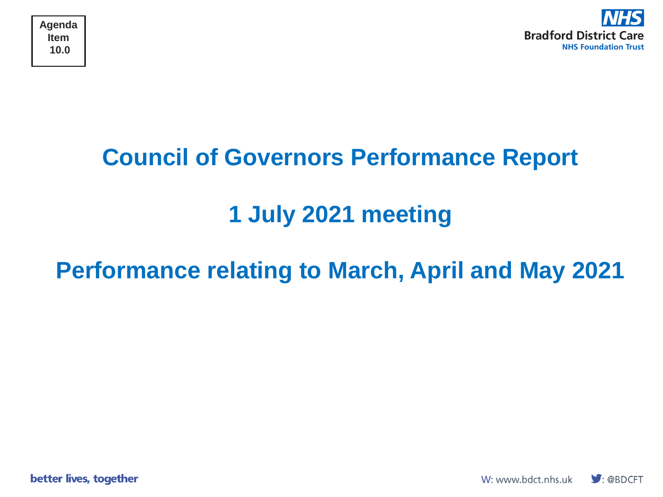



## **Council of Governors Performance Report**

## **1 July 2021 meeting**

### **Performance relating to March, April and May 2021**

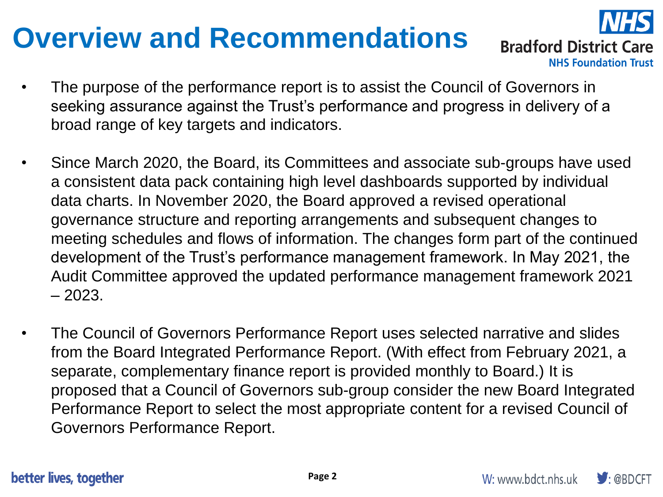## **Overview and Recommendations**



**Bradford District Care NHS Foundation Trust** 

- The purpose of the performance report is to assist the Council of Governors in seeking assurance against the Trust's performance and progress in delivery of a broad range of key targets and indicators.
- Since March 2020, the Board, its Committees and associate sub-groups have used a consistent data pack containing high level dashboards supported by individual data charts. In November 2020, the Board approved a revised operational governance structure and reporting arrangements and subsequent changes to meeting schedules and flows of information. The changes form part of the continued development of the Trust's performance management framework. In May 2021, the Audit Committee approved the updated performance management framework 2021 – 2023.
- The Council of Governors Performance Report uses selected narrative and slides from the Board Integrated Performance Report. (With effect from February 2021, a separate, complementary finance report is provided monthly to Board.) It is proposed that a Council of Governors sub-group consider the new Board Integrated Performance Report to select the most appropriate content for a revised Council of Governors Performance Report.

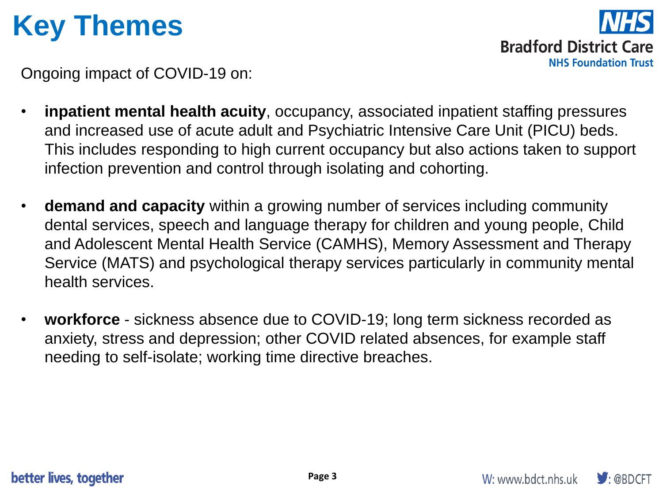## **Key Themes**

**Bradford District Care NHS Foundation Trust** 

Ongoing impact of COVID-19 on:

- **inpatient mental health acuity**, occupancy, associated inpatient staffing pressures and increased use of acute adult and Psychiatric Intensive Care Unit (PICU) beds. This includes responding to high current occupancy but also actions taken to support infection prevention and control through isolating and cohorting.
- **demand and capacity** within a growing number of services including community dental services, speech and language therapy for children and young people, Child and Adolescent Mental Health Service (CAMHS), Memory Assessment and Therapy Service (MATS) and psychological therapy services particularly in community mental health services.
- **workforce**  sickness absence due to COVID-19; long term sickness recorded as anxiety, stress and depression; other COVID related absences, for example staff needing to self-isolate; working time directive breaches.

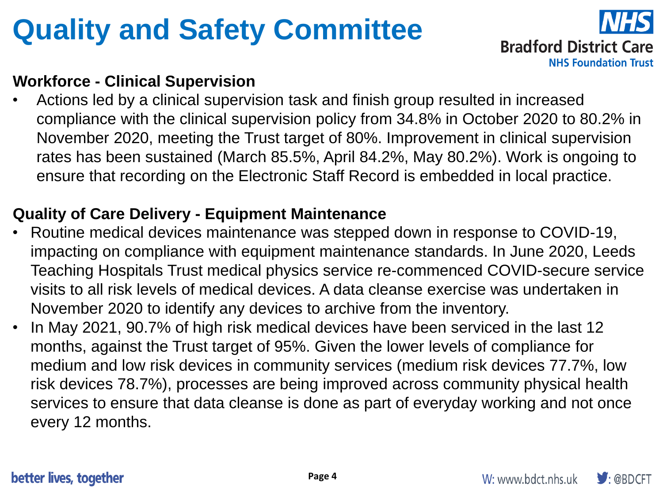## **Quality and Safety Committee**



### **Workforce - Clinical Supervision**

• Actions led by a clinical supervision task and finish group resulted in increased compliance with the clinical supervision policy from 34.8% in October 2020 to 80.2% in November 2020, meeting the Trust target of 80%. Improvement in clinical supervision rates has been sustained (March 85.5%, April 84.2%, May 80.2%). Work is ongoing to ensure that recording on the Electronic Staff Record is embedded in local practice.

### **Quality of Care Delivery - Equipment Maintenance**

- Routine medical devices maintenance was stepped down in response to COVID-19, impacting on compliance with equipment maintenance standards. In June 2020, Leeds Teaching Hospitals Trust medical physics service re-commenced COVID-secure service visits to all risk levels of medical devices. A data cleanse exercise was undertaken in November 2020 to identify any devices to archive from the inventory.
- In May 2021, 90.7% of high risk medical devices have been serviced in the last 12 months, against the Trust target of 95%. Given the lower levels of compliance for medium and low risk devices in community services (medium risk devices 77.7%, low risk devices 78.7%), processes are being improved across community physical health services to ensure that data cleanse is done as part of everyday working and not once every 12 months.

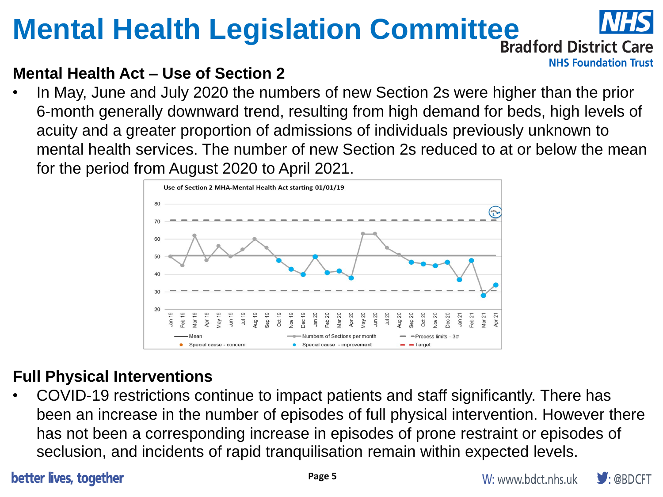# **Mental Health Legislation Committee INTED**

**NHS Foundation Trust** 

### **Mental Health Act – Use of Section 2**

• In May, June and July 2020 the numbers of new Section 2s were higher than the prior 6-month generally downward trend, resulting from high demand for beds, high levels of acuity and a greater proportion of admissions of individuals previously unknown to mental health services. The number of new Section 2s reduced to at or below the mean for the period from August 2020 to April 2021.



### **Full Physical Interventions**

• COVID-19 restrictions continue to impact patients and staff significantly. There has been an increase in the number of episodes of full physical intervention. However there has not been a corresponding increase in episodes of prone restraint or episodes of seclusion, and incidents of rapid tranquilisation remain within expected levels.

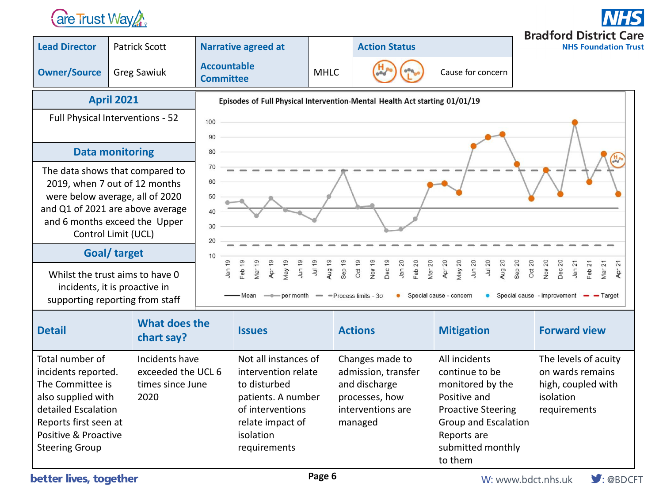### **are Trust Way Are**

**Bradford District Care Lead Director** Patrick Scott **Narrative agreed at Action Status NHS Foundation Trust Owner/Source** Greg Sawiuk **Accountable MHLC Cause for concern April 2021** Episodes of Full Physical Intervention-Mental Health Act starting 01/01/19 Full Physical Interventions - 52 100 90 **Data monitoring** 80 70 The data shows that compared to 60 2019, when 7 out of 12 months were below average, all of 2020  $\rightarrow$ 50 and Q1 of 2021 are above average  $40$ and 6 months exceed the Upper 30 Control Limit (UCL) 20 **Goal/ target** 10 Jan 19 Feb 19 Mar<sub>19</sub> **Apr 19** May 19 **Jun 19** Jul 19 Aug 19 Sep 19 Oct 19 Nov 19 Dec<sub>19</sub> Jan 20 Feb 20 Mar 20 **Apr 20** Vlay 20 Jun 20 Jul 20 Aug 20 Sep 20 Oct 20 Nov 20 Dec<sub>20</sub> Jan 21 Feb  $21$ Mar 21 21  $\overline{R}$ Whilst the trust aims to have 0 incidents, it is proactive in - Mean  $\rightarrow$  per month  $\rightarrow$  Process limits - 3 $\sigma$ • Special cause - concern • Special cause - improvement - Target supporting reporting from staff

| <b>Detail</b>                                                                                                                                                                     | What does the<br>chart say?                                      | <b>Issues</b>                                                                                                                                          | <b>Actions</b>                                                                                            | <b>Mitigation</b>                                                                                                                                                              | <b>Forward view</b>                                                                         |
|-----------------------------------------------------------------------------------------------------------------------------------------------------------------------------------|------------------------------------------------------------------|--------------------------------------------------------------------------------------------------------------------------------------------------------|-----------------------------------------------------------------------------------------------------------|--------------------------------------------------------------------------------------------------------------------------------------------------------------------------------|---------------------------------------------------------------------------------------------|
| Total number of<br>incidents reported.<br>The Committee is<br>also supplied with<br>detailed Escalation<br>Reports first seen at<br>Positive & Proactive<br><b>Steering Group</b> | Incidents have<br>exceeded the UCL 6<br>times since June<br>2020 | Not all instances of<br>intervention relate<br>to disturbed<br>patients. A number<br>of interventions<br>relate impact of<br>isolation<br>requirements | Changes made to<br>admission, transfer<br>and discharge<br>processes, how<br>interventions are<br>managed | All incidents<br>continue to be<br>monitored by the<br>Positive and<br><b>Proactive Steering</b><br><b>Group and Escalation</b><br>Reports are<br>submitted monthly<br>to them | The levels of acuity<br>on wards remains<br>high, coupled with<br>isolation<br>requirements |

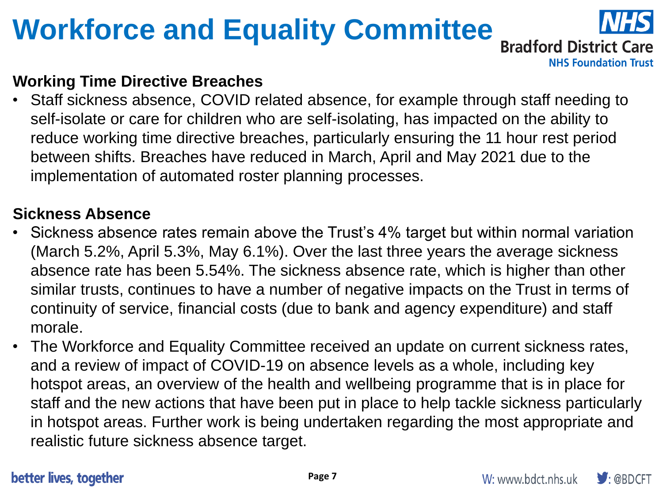# **Workforce and Equality Committee**



**NHS Foundation Trust** 

### **Working Time Directive Breaches**

Staff sickness absence, COVID related absence, for example through staff needing to self-isolate or care for children who are self-isolating, has impacted on the ability to reduce working time directive breaches, particularly ensuring the 11 hour rest period between shifts. Breaches have reduced in March, April and May 2021 due to the implementation of automated roster planning processes.

#### **Sickness Absence**

- Sickness absence rates remain above the Trust's 4% target but within normal variation (March 5.2%, April 5.3%, May 6.1%). Over the last three years the average sickness absence rate has been 5.54%. The sickness absence rate, which is higher than other similar trusts, continues to have a number of negative impacts on the Trust in terms of continuity of service, financial costs (due to bank and agency expenditure) and staff morale.
- The Workforce and Equality Committee received an update on current sickness rates, and a review of impact of COVID-19 on absence levels as a whole, including key hotspot areas, an overview of the health and wellbeing programme that is in place for staff and the new actions that have been put in place to help tackle sickness particularly in hotspot areas. Further work is being undertaken regarding the most appropriate and realistic future sickness absence target.

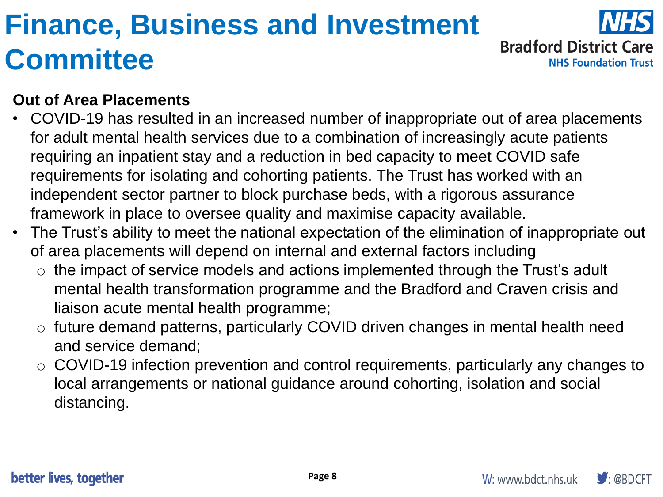## **Finance, Business and Investment Committee**



#### **Out of Area Placements**

- COVID-19 has resulted in an increased number of inappropriate out of area placements for adult mental health services due to a combination of increasingly acute patients requiring an inpatient stay and a reduction in bed capacity to meet COVID safe requirements for isolating and cohorting patients. The Trust has worked with an independent sector partner to block purchase beds, with a rigorous assurance framework in place to oversee quality and maximise capacity available.
- The Trust's ability to meet the national expectation of the elimination of inappropriate out of area placements will depend on internal and external factors including
	- $\circ$  the impact of service models and actions implemented through the Trust's adult mental health transformation programme and the Bradford and Craven crisis and liaison acute mental health programme;
	- o future demand patterns, particularly COVID driven changes in mental health need and service demand;
	- o COVID-19 infection prevention and control requirements, particularly any changes to local arrangements or national guidance around cohorting, isolation and social distancing.

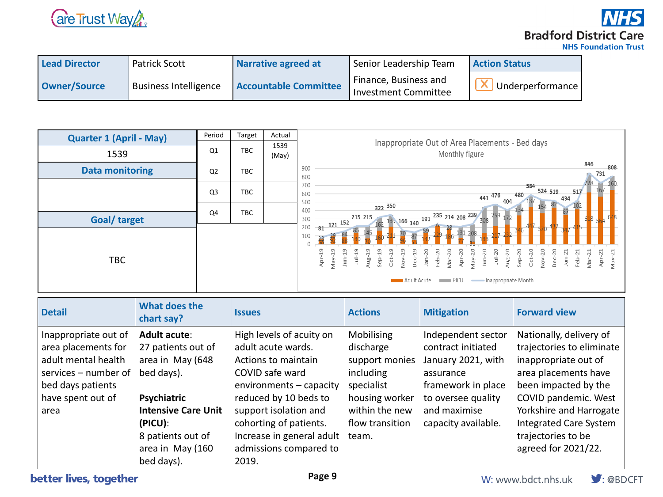

**Bradford District Care NHS Foundation Trust** 

| <b>Lead Director</b> | <b>Patrick Scott</b>         | Narrative agreed at          | Senior Leadership Team                               | <b>Action Status</b> |
|----------------------|------------------------------|------------------------------|------------------------------------------------------|----------------------|
| Owner/Source         | <b>Business Intelligence</b> | <b>Accountable Committee</b> | Finance, Business and<br><b>Investment Committee</b> | Underperformance     |



| <b>Detail</b>                                                                                                                                | What does the<br>chart say?                                                                                                                                                                | <b>Issues</b>                                                                                                                                                                                                                                                   | <b>Actions</b>                                                                                                                              | <b>Mitigation</b>                                                                                                                                              | <b>Forward view</b>                                                                                                                                                                                                                                           |
|----------------------------------------------------------------------------------------------------------------------------------------------|--------------------------------------------------------------------------------------------------------------------------------------------------------------------------------------------|-----------------------------------------------------------------------------------------------------------------------------------------------------------------------------------------------------------------------------------------------------------------|---------------------------------------------------------------------------------------------------------------------------------------------|----------------------------------------------------------------------------------------------------------------------------------------------------------------|---------------------------------------------------------------------------------------------------------------------------------------------------------------------------------------------------------------------------------------------------------------|
| Inappropriate out of<br>area placements for<br>adult mental health<br>services – number of<br>bed days patients<br>have spent out of<br>area | <b>Adult acute:</b><br>27 patients out of<br>area in May (648<br>bed days).<br>Psychiatric<br><b>Intensive Care Unit</b><br>(PICU):<br>8 patients out of<br>area in May (160<br>bed days). | High levels of acuity on<br>adult acute wards.<br>Actions to maintain<br>COVID safe ward<br>environments - capacity<br>reduced by 10 beds to<br>support isolation and<br>cohorting of patients.<br>Increase in general adult<br>admissions compared to<br>2019. | <b>Mobilising</b><br>discharge<br>support monies<br>including<br>specialist<br>housing worker<br>within the new<br>flow transition<br>team. | Independent sector<br>contract initiated<br>January 2021, with<br>assurance<br>framework in place<br>to oversee quality<br>and maximise<br>capacity available. | Nationally, delivery of<br>trajectories to eliminate<br>inappropriate out of<br>area placements have<br>been impacted by the<br>COVID pandemic. West<br>Yorkshire and Harrogate<br><b>Integrated Care System</b><br>trajectories to be<br>agreed for 2021/22. |

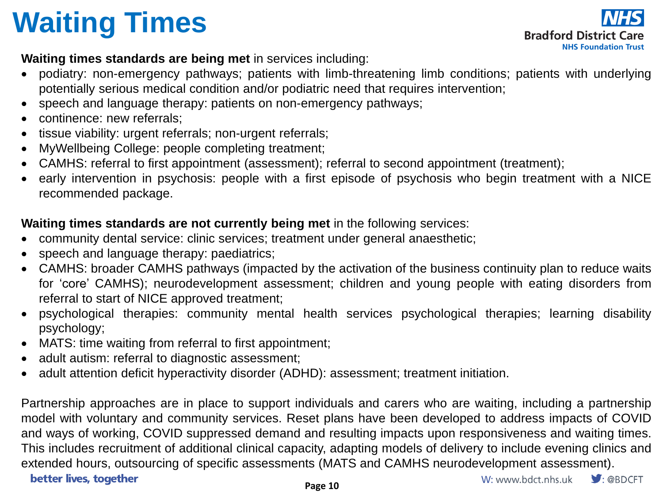# **Waiting Times**



#### **Waiting times standards are being met** in services including:

- podiatry: non-emergency pathways; patients with limb-threatening limb conditions; patients with underlying potentially serious medical condition and/or podiatric need that requires intervention;
- speech and language therapy: patients on non-emergency pathways;
- continence: new referrals;
- tissue viability: urgent referrals; non-urgent referrals;
- MyWellbeing College: people completing treatment;
- CAMHS: referral to first appointment (assessment); referral to second appointment (treatment);
- early intervention in psychosis: people with a first episode of psychosis who begin treatment with a NICE recommended package.

#### **Waiting times standards are not currently being met** in the following services:

- community dental service: clinic services; treatment under general anaesthetic;
- speech and language therapy: paediatrics;
- CAMHS: broader CAMHS pathways (impacted by the activation of the business continuity plan to reduce waits for 'core' CAMHS); neurodevelopment assessment; children and young people with eating disorders from referral to start of NICE approved treatment;
- psychological therapies: community mental health services psychological therapies; learning disability psychology;
- MATS: time waiting from referral to first appointment;
- adult autism: referral to diagnostic assessment;
- adult attention deficit hyperactivity disorder (ADHD): assessment; treatment initiation.

Partnership approaches are in place to support individuals and carers who are waiting, including a partnership model with voluntary and community services. Reset plans have been developed to address impacts of COVID and ways of working, COVID suppressed demand and resulting impacts upon responsiveness and waiting times. This includes recruitment of additional clinical capacity, adapting models of delivery to include evening clinics and extended hours, outsourcing of specific assessments (MATS and CAMHS neurodevelopment assessment). better lives, together W: www.bdct.nhs.uk  $\blacktriangleright$  : @BDCFT